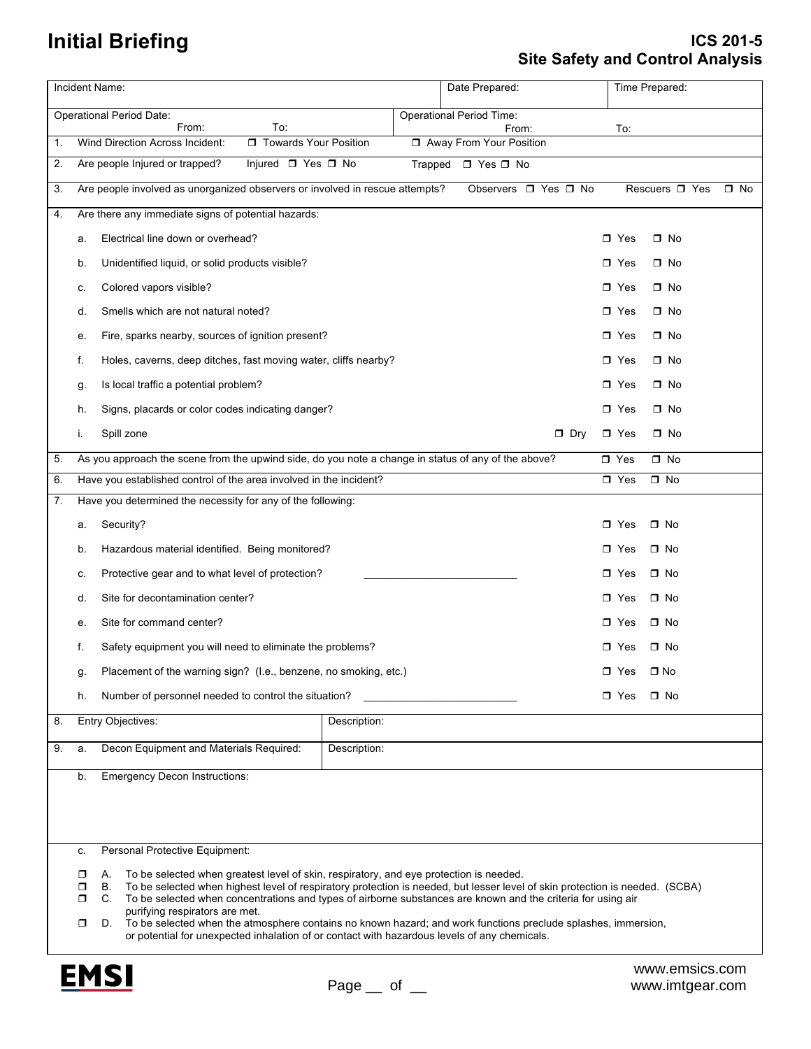## **Initial Briefing**

## **ICS 201-5 Site Safety and Control Analysis**

|                                                                                  |                                                                            | Incident Name:                                                                                                                                                                                                                                                                                                                                                                                                                                                                                                                                                                                                                        |              | Date Prepared:                   |              |                                | Time Prepared: |                    |  |  |
|----------------------------------------------------------------------------------|----------------------------------------------------------------------------|---------------------------------------------------------------------------------------------------------------------------------------------------------------------------------------------------------------------------------------------------------------------------------------------------------------------------------------------------------------------------------------------------------------------------------------------------------------------------------------------------------------------------------------------------------------------------------------------------------------------------------------|--------------|----------------------------------|--------------|--------------------------------|----------------|--------------------|--|--|
| <b>Operational Period Date:</b><br><b>Operational Period Time:</b>               |                                                                            |                                                                                                                                                                                                                                                                                                                                                                                                                                                                                                                                                                                                                                       |              |                                  |              |                                |                |                    |  |  |
| From:<br>To:<br>□ Towards Your Position<br>Wind Direction Across Incident:<br>1. |                                                                            |                                                                                                                                                                                                                                                                                                                                                                                                                                                                                                                                                                                                                                       |              | From:<br>Away From Your Position |              |                                | To:            |                    |  |  |
| 2.                                                                               | Injured □ Yes □ No<br>Are people Injured or trapped?<br>Trapped □ Yes □ No |                                                                                                                                                                                                                                                                                                                                                                                                                                                                                                                                                                                                                                       |              |                                  |              |                                |                |                    |  |  |
| 3.                                                                               |                                                                            | Are people involved as unorganized observers or involved in rescue attempts?                                                                                                                                                                                                                                                                                                                                                                                                                                                                                                                                                          |              | Observers D Yes D No             |              | Rescuers □ Yes<br>$\square$ No |                |                    |  |  |
| 4.                                                                               |                                                                            | Are there any immediate signs of potential hazards:                                                                                                                                                                                                                                                                                                                                                                                                                                                                                                                                                                                   |              |                                  |              |                                |                |                    |  |  |
|                                                                                  | а.                                                                         | Electrical line down or overhead?                                                                                                                                                                                                                                                                                                                                                                                                                                                                                                                                                                                                     |              |                                  |              | $\Box$ Yes                     | $\square$ No   |                    |  |  |
|                                                                                  | b.                                                                         | Unidentified liquid, or solid products visible?                                                                                                                                                                                                                                                                                                                                                                                                                                                                                                                                                                                       |              |                                  |              | $\Box$ Yes                     | □ No           |                    |  |  |
|                                                                                  | c.                                                                         | Colored vapors visible?                                                                                                                                                                                                                                                                                                                                                                                                                                                                                                                                                                                                               |              |                                  |              | $\Box$ Yes                     | $\square$ No   |                    |  |  |
|                                                                                  | d.                                                                         | Smells which are not natural noted?                                                                                                                                                                                                                                                                                                                                                                                                                                                                                                                                                                                                   |              |                                  |              |                                |                | $\Box$ Yes<br>□ No |  |  |
|                                                                                  | е.                                                                         | Fire, sparks nearby, sources of ignition present?                                                                                                                                                                                                                                                                                                                                                                                                                                                                                                                                                                                     |              |                                  |              | $\Box$ Yes<br>$\square$ No     |                |                    |  |  |
|                                                                                  | f.                                                                         | Holes, caverns, deep ditches, fast moving water, cliffs nearby?                                                                                                                                                                                                                                                                                                                                                                                                                                                                                                                                                                       |              |                                  |              | $\Box$ Yes<br>$\square$ No     |                |                    |  |  |
|                                                                                  | g.                                                                         | Is local traffic a potential problem?                                                                                                                                                                                                                                                                                                                                                                                                                                                                                                                                                                                                 |              |                                  |              | $\Box$ Yes                     | □ No           |                    |  |  |
|                                                                                  | h.                                                                         | Signs, placards or color codes indicating danger?                                                                                                                                                                                                                                                                                                                                                                                                                                                                                                                                                                                     |              |                                  |              | $\Box$ Yes                     | □ No           |                    |  |  |
|                                                                                  | İ.                                                                         | Spill zone                                                                                                                                                                                                                                                                                                                                                                                                                                                                                                                                                                                                                            |              | $\Box$ Dry                       |              | $\Box$ Yes                     | $\square$ No   |                    |  |  |
| 5.                                                                               |                                                                            | As you approach the scene from the upwind side, do you note a change in status of any of the above?                                                                                                                                                                                                                                                                                                                                                                                                                                                                                                                                   |              | $\Box$ Yes                       | $\square$ No |                                |                |                    |  |  |
| 6.                                                                               |                                                                            | Have you established control of the area involved in the incident?                                                                                                                                                                                                                                                                                                                                                                                                                                                                                                                                                                    |              |                                  |              | $\square$ Yes                  | $\square$ No   |                    |  |  |
| 7.                                                                               |                                                                            | Have you determined the necessity for any of the following:                                                                                                                                                                                                                                                                                                                                                                                                                                                                                                                                                                           |              |                                  |              |                                |                |                    |  |  |
|                                                                                  | a.                                                                         | Security?                                                                                                                                                                                                                                                                                                                                                                                                                                                                                                                                                                                                                             |              |                                  |              | $\Box$ Yes                     | $\square$ No   |                    |  |  |
|                                                                                  | b.                                                                         | Hazardous material identified. Being monitored?                                                                                                                                                                                                                                                                                                                                                                                                                                                                                                                                                                                       |              |                                  | $\Box$ Yes   | $\square$ No                   |                |                    |  |  |
|                                                                                  | c.                                                                         | Protective gear and to what level of protection?                                                                                                                                                                                                                                                                                                                                                                                                                                                                                                                                                                                      |              |                                  |              | $\Box$ Yes                     | $\square$ No   |                    |  |  |
|                                                                                  | d.                                                                         | Site for decontamination center?                                                                                                                                                                                                                                                                                                                                                                                                                                                                                                                                                                                                      |              |                                  |              | $\Box$ Yes                     | □ No           |                    |  |  |
|                                                                                  | е.                                                                         | Site for command center?                                                                                                                                                                                                                                                                                                                                                                                                                                                                                                                                                                                                              |              |                                  | $\Box$ Yes   | □ No                           |                |                    |  |  |
|                                                                                  | f.                                                                         | Safety equipment you will need to eliminate the problems?                                                                                                                                                                                                                                                                                                                                                                                                                                                                                                                                                                             |              |                                  |              | $\Box$ Yes                     | □ No           |                    |  |  |
|                                                                                  | g.                                                                         | Placement of the warning sign? (I.e., benzene, no smoking, etc.)                                                                                                                                                                                                                                                                                                                                                                                                                                                                                                                                                                      |              |                                  |              | □ Yes                          | $\square$ No   |                    |  |  |
|                                                                                  | h.                                                                         | Number of personnel needed to control the situation?                                                                                                                                                                                                                                                                                                                                                                                                                                                                                                                                                                                  |              |                                  |              | $\Box$ Yes                     | $\square$ No   |                    |  |  |
| 8.                                                                               |                                                                            | Entry Objectives:<br>Description:                                                                                                                                                                                                                                                                                                                                                                                                                                                                                                                                                                                                     |              |                                  |              |                                |                |                    |  |  |
| 9.                                                                               | a.                                                                         | Decon Equipment and Materials Required:                                                                                                                                                                                                                                                                                                                                                                                                                                                                                                                                                                                               | Description: |                                  |              |                                |                |                    |  |  |
|                                                                                  | b.                                                                         | <b>Emergency Decon Instructions:</b>                                                                                                                                                                                                                                                                                                                                                                                                                                                                                                                                                                                                  |              |                                  |              |                                |                |                    |  |  |
|                                                                                  |                                                                            |                                                                                                                                                                                                                                                                                                                                                                                                                                                                                                                                                                                                                                       |              |                                  |              |                                |                |                    |  |  |
|                                                                                  |                                                                            |                                                                                                                                                                                                                                                                                                                                                                                                                                                                                                                                                                                                                                       |              |                                  |              |                                |                |                    |  |  |
|                                                                                  | c.                                                                         | Personal Protective Equipment:                                                                                                                                                                                                                                                                                                                                                                                                                                                                                                                                                                                                        |              |                                  |              |                                |                |                    |  |  |
|                                                                                  | σ                                                                          | To be selected when greatest level of skin, respiratory, and eye protection is needed.<br>А.<br>В.<br>To be selected when highest level of respiratory protection is needed, but lesser level of skin protection is needed. (SCBA)<br>◘<br>To be selected when concentrations and types of airborne substances are known and the criteria for using air<br>$\Box$<br>C.<br>purifying respirators are met.<br>To be selected when the atmosphere contains no known hazard; and work functions preclude splashes, immersion,<br>σ<br>D.<br>or potential for unexpected inhalation of or contact with hazardous levels of any chemicals. |              |                                  |              |                                |                |                    |  |  |
|                                                                                  |                                                                            |                                                                                                                                                                                                                                                                                                                                                                                                                                                                                                                                                                                                                                       |              |                                  |              |                                |                |                    |  |  |
|                                                                                  |                                                                            |                                                                                                                                                                                                                                                                                                                                                                                                                                                                                                                                                                                                                                       |              |                                  |              |                                |                |                    |  |  |
|                                                                                  |                                                                            |                                                                                                                                                                                                                                                                                                                                                                                                                                                                                                                                                                                                                                       |              |                                  |              |                                |                |                    |  |  |



www.emsics.com www.imtgear.com

## **Initial Briefing**